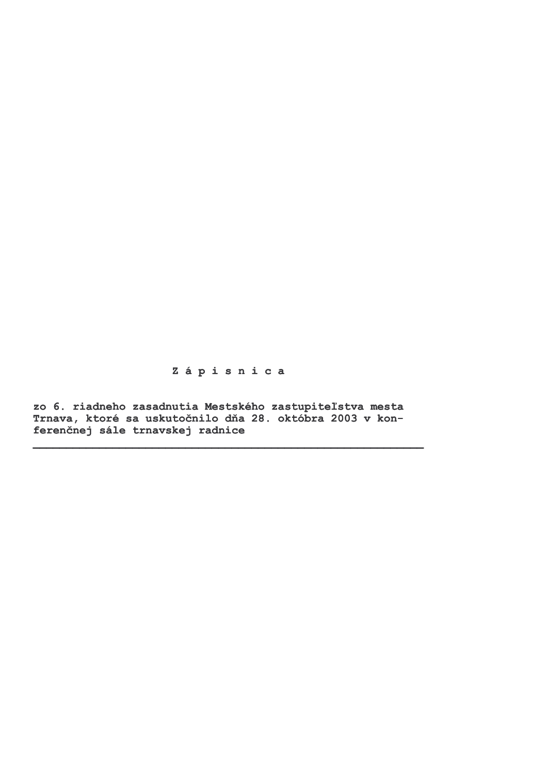Zápisnica

zo 6. riadneho zasadnutia Mestského zastupiteľstva mesta<br>Trnava, ktoré sa uskutočnilo dňa 28. októbra 2003 v konferenčnej sále trnavskej radnice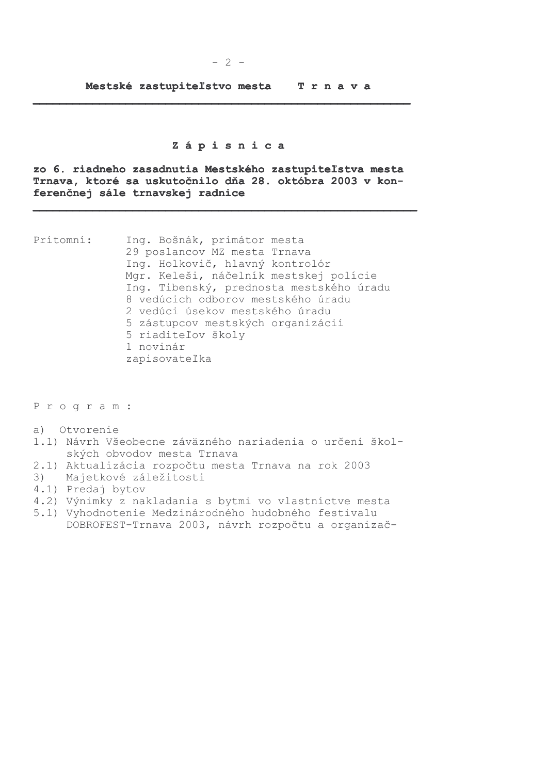#### Zápisnica

zo 6. riadneho zasadnutia Mestského zastupiteľstva mesta Trnava, ktoré sa uskutočnilo dňa 28. októbra 2003 v konferenčnej sále trnavskej radnice

Prítomní: Ing. Bošnák, primátor mesta 29 poslancov MZ mesta Trnava Ing. Holkovič, hlavný kontrolór Mgr. Keleši, náčelník mestskej polície Ing. Tibenský, prednosta mestského úradu 8 vedúcich odborov mestského úradu 2 vedúci úsekov mestského úradu 5 zástupcov mestských organizácií 5 riaditeľov školy 1 novinár zapisovateľka

Program:

- a) Otvorenie
- 1.1) Návrh Všeobecne záväzného nariadenia o určení školských obvodov mesta Trnava
- 2.1) Aktualizácia rozpočtu mesta Trnava na rok 2003
- $3)$ Majetkové záležitosti
- 4.1) Predaj bytov
- 4.2) Výnimky z nakladania s bytmi vo vlastníctve mesta
- 5.1) Vyhodnotenie Medzinárodného hudobného festivalu DOBROFEST-Trnava 2003, návrh rozpočtu a organizač-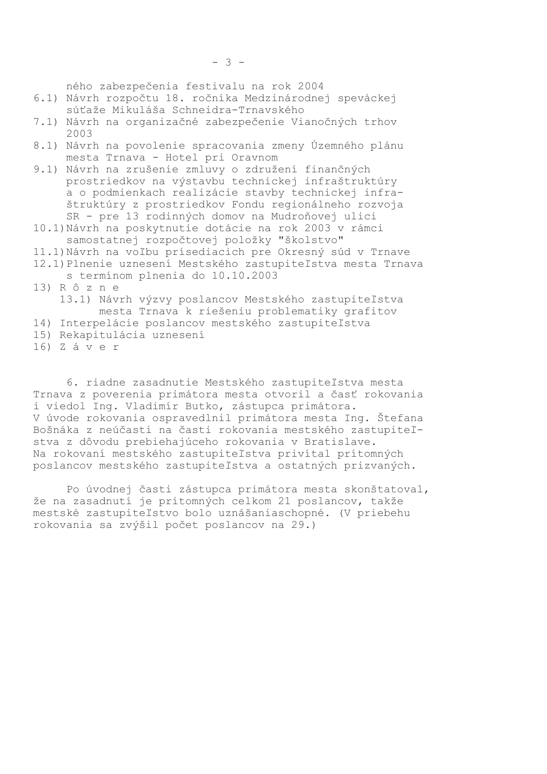ného zabezpečenia festivalu na rok 2004

- 6.1) Návrh rozpočtu 18. ročníka Medzinárodnej speváckej súťaže Mikuláša Schneidra-Trnavského
- 7.1) Návrh na organizačné zabezpečenie Vianočných trhov  $2003$
- 8.1) Návrh na povolenie spracovania zmeny Územného plánu mesta Trnava - Hotel pri Oravnom
- 9.1) Návrh na zrušenie zmluvy o združení finančných prostriedkov na výstavbu technickej infraštruktúrv a o podmienkach realizácie stavby technickej infraštruktúry z prostriedkov Fondu regionálneho rozvoja SR - pre 13 rodinných domov na Mudroňovej ulici
- 10.1) Návrh na poskytnutie dotácie na rok 2003 v rámci samostatnej rozpočtovej položky "školstvo"
- 11.1) Návrh na voľbu prísediacich pre Okresný súd v Trnave 12.1) Plnenie uznesení Mestského zastupiteľstva mesta Trnava
	- s termínom plnenia do 10.10.2003
- 13) R ô z n e 13.1) Návrh výzvy poslancov Mestského zastupiteľstva
- mesta Trnava k riešeniu problematiky grafitov
- 14) Interpelácie poslancov mestského zastupiteľstva
- 15) Rekapitulácia uznesení
- 16) Záver

6. riadne zasadnutie Mestského zastupiteľstva mesta Trnava z poverenia primátora mesta otvoril a časť rokovania i viedol Ing. Vladimír Butko, zástupca primátora. V úvode rokovania ospravedlnil primátora mesta Ing. Štefana Bošnáka z neúčasti na časti rokovania mestského zastupiteľstva z dôvodu prebiehajúceho rokovania v Bratislave. Na rokovaní mestského zastupiteľstva privítal prítomných poslancov mestského zastupiteľstva a ostatných prizvaných.

Po úvodnej časti zástupca primátora mesta skonštatoval, že na zasadnutí je prítomných celkom 21 poslancov, takže mestské zastupiteľstvo bolo uznášaniaschopné. (V priebehu rokovania sa zvýšil počet poslancov na 29.)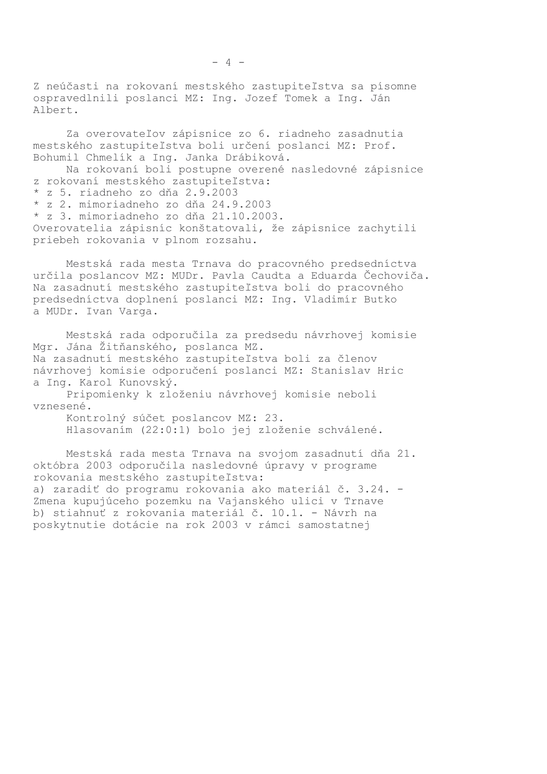Z neúčasti na rokovaní mestského zastupiteľstva sa písomne ospravedlnili poslanci MZ: Ing. Jozef Tomek a Ing. Ján Albert.

Za overovateľov zápisnice zo 6. riadneho zasadnutia mestského zastupiteľstva boli určení poslanci MZ: Prof. Bohumil Chmelík a Ing. Janka Drábiková.

Na rokovaní boli postupne overené nasledovné zápisnice z rokovaní mestského zastupiteľstva: z 5. riadneho zo dňa 2.9.2003 \* z 2. mimoriadneho zo dňa 24.9.2003 \* z 3. mimoriadneho zo dňa 21.10.2003. Overovatelia zápisníc konštatovali, že zápisnice zachytili priebeh rokovania v plnom rozsahu.

Mestská rada mesta Trnava do pracovného predsedníctva určila poslancov MZ: MUDr. Pavla Caudta a Eduarda Čechoviča. Na zasadnutí mestského zastupiteľstva boli do pracovného predsedníctva doplnení poslanci MZ: Ing. Vladimír Butko a MUDr. Ivan Varga.

Mestská rada odporučila za predsedu návrhovej komisie Mgr. Jána Žitňanského, poslanca MZ. Na zasadnutí mestského zastupiteľstva boli za členov návrhovej komisie odporučení poslanci MZ: Stanislav Hric a Ing. Karol Kunovský.

Pripomienky k zloženiu návrhovej komisie neboli vznesené.

Kontrolný súčet poslancov MZ: 23. Hlasovaním (22:0:1) bolo jej zloženie schválené.

Mestská rada mesta Trnava na svojom zasadnutí dňa 21. októbra 2003 odporučila nasledovné úpravy v programe rokovania mestského zastupiteľstva: a) zaradiť do programu rokovania ako materiál č. 3.24. -Zmena kupujúceho pozemku na Vajanského ulici v Trnave b) stiahnuť z rokovania materiál č. 10.1. - Návrh na poskytnutie dotácie na rok 2003 v rámci samostatnej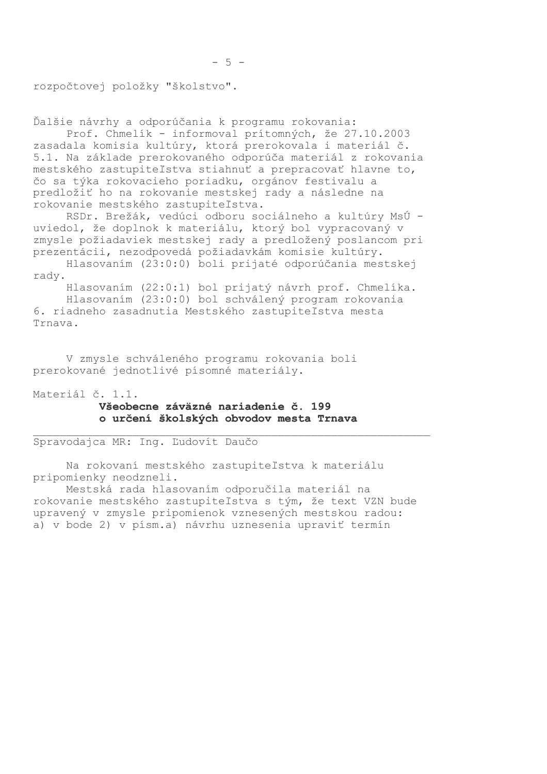rozpočtovej položky "školstvo".

Ďalšie návrhy a odporúčania k programu rokovania:

Prof. Chmelík - informoval prítomných, že 27.10.2003 zasadala komisia kultúry, ktorá prerokovala i materiál č. 5.1. Na základe prerokovaného odporúča materiál z rokovania mestského zastupiteľstva stiahnuť a prepracovať hlavne to, čo sa týka rokovacieho poriadku, orgánov festivalu a predložiť ho na rokovanie mestskej rady a následne na rokovanie mestského zastupiteľstva.

RSDr. Brežák, vedúci odboru sociálneho a kultúry MsÚ uviedol, že doplnok k materiálu, ktorý bol vypracovaný v zmysle požiadaviek mestskej rady a predložený poslancom pri prezentácii, nezodpovedá požiadavkám komisie kultúry.

Hlasovaním (23:0:0) boli prijaté odporúčania mestskej rady.

Hlasovaním (22:0:1) bol prijatý návrh prof. Chmelíka. Hlasovaním (23:0:0) bol schválený program rokovania 6. riadneho zasadnutia Mestského zastupiteľstva mesta Trnava.

V zmysle schváleného programu rokovania boli prerokované jednotlivé písomné materiály.

Materiál č. 1.1.

## Všeobecne záväzné nariadenie č. 199 o určení školských obvodov mesta Trnava

Spravodajca MR: Ing. Ľudovít Daučo

Na rokovaní mestského zastupiteľstva k materiálu pripomienky neodzneli.

Mestská rada hlasovaním odporučila materiál na rokovanie mestského zastupiteľstva s tým, že text VZN bude upravený v zmysle pripomienok vznesených mestskou radou: a) v bode 2) v písm.a) návrhu uznesenia upraviť termín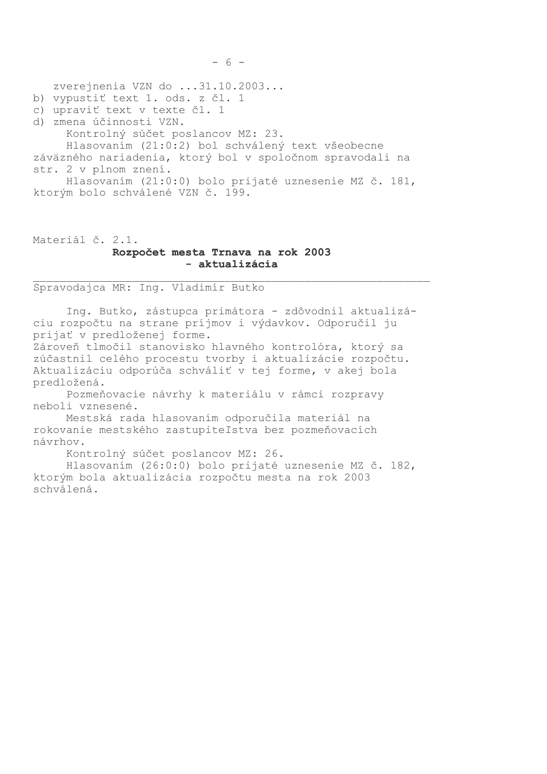zverejnenia VZN do ...31.10.2003...

- b) vypustiť text 1. ods. z čl. 1
- c) upraviť text v texte čl. 1
- d) zmena účinnosti VZN.
	- Kontrolný súčet poslancov MZ: 23.

Hlasovaním (21:0:2) bol schválený text všeobecne záväzného nariadenia, ktorý bol v spoločnom spravodali na str. 2 v plnom znení.

Hlasovaním (21:0:0) bolo prijaté uznesenie MZ č. 181, ktorým bolo schválené VZN č. 199.

Materiál č. 2.1.

#### Rozpočet mesta Trnava na rok 2003 - aktualizácia

Spravodajca MR: Ing. Vladimír Butko

Ing. Butko, zástupca primátora - zdôvodnil aktualizáciu rozpočtu na strane príjmov i výdavkov. Odporučil ju prijať v predloženej forme. Zároveň tlmočil stanovisko hlavného kontrolóra, ktorý sa

zúčastnil celého procestu tvorby i aktualizácie rozpočtu. Aktualizáciu odporúča schváliť v tej forme, v akej bola predložená.

Pozmeňovacie návrhy k materiálu v rámci rozpravy neboli vznesené.

Mestská rada hlasovaním odporučila materiál na rokovanie mestského zastupiteľstva bez pozmeňovacích návrhov.

Kontrolný súčet poslancov MZ: 26.

Hlasovaním (26:0:0) bolo prijaté uznesenie MZ č. 182, ktorým bola aktualizácia rozpočtu mesta na rok 2003 schválená.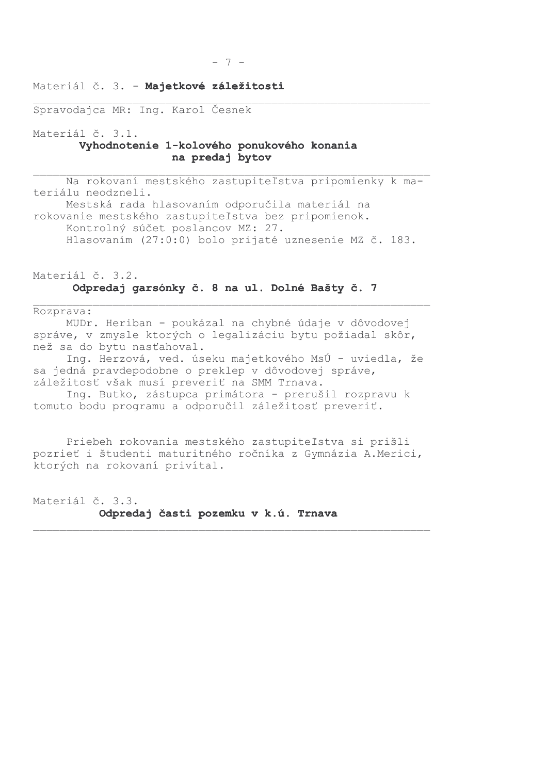### Materiál č. 3. - Majetkové záležitosti

Spravodajca MR: Ing. Karol Česnek

Materiál č. 3.1.

## Vyhodnotenie 1-kolového ponukového konania na predaj bytov

Na rokovaní mestského zastupiteľstva pripomienky k materiálu neodzneli. Mestská rada hlasovaním odporučila materiál na rokovanie mestského zastupiteľstva bez pripomienok. Kontrolný súčet poslancov MZ: 27. Hlasovaním (27:0:0) bolo prijaté uznesenie MZ č. 183.

## Materiál č. 3.2. Odpredaj garsónky č. 8 na ul. Dolné Bašty č. 7

Rozprava:

MUDr. Heriban - poukázal na chybné údaje v dôvodovej správe, v zmysle ktorých o legalizáciu bytu požiadal skôr, než sa do bytu nasťahoval.

Ing. Herzová, ved. úseku majetkového MsÚ - uviedla, že sa jedná pravdepodobne o preklep v dôvodovej správe, záležitosť však musí preveriť na SMM Trnava.

Ing. Butko, zástupca primátora - prerušil rozpravu k tomuto bodu programu a odporučil záležitosť preveriť.

Priebeh rokovania mestského zastupiteľstva si prišli pozrieť i študenti maturitného ročníka z Gymnázia A.Merici, ktorých na rokovaní privítal.

Materiál č. 3.3. Odpredaj časti pozemku v k.ú. Trnava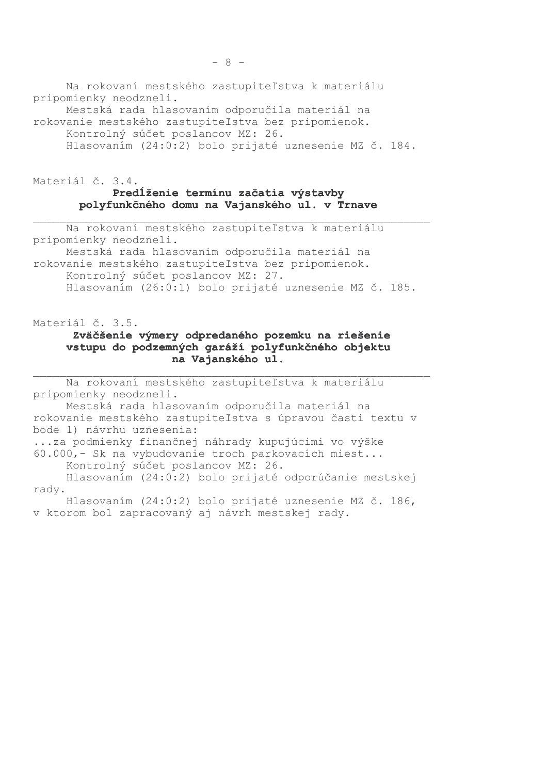Na rokovaní mestského zastupiteľstva k materiálu pripomienky neodzneli.

Mestská rada hlasovaním odporučila materiál na rokovanie mestského zastupiteľstva bez pripomienok. Kontrolný súčet poslancov MZ: 26.

Hlasovaním (24:0:2) bolo prijaté uznesenie MZ č. 184.

# Materiál č. 3.4. Predĺženie termínu začatia výstavby polyfunkčného domu na Vajanského ul. v Trnave

Na rokovaní mestského zastupiteľstva k materiálu pripomienky neodzneli.

Mestská rada hlasovaním odporučila materiál na rokovanie mestského zastupiteľstva bez pripomienok. Kontrolný súčet poslancov MZ: 27. Hlasovaním (26:0:1) bolo prijaté uznesenie MZ č. 185.

Materiál č. 3.5.

## Zväčšenie výmery odpredaného pozemku na riešenie vstupu do podzemných garáží polyfunkčného objektu na Vajanského ul.

Na rokovaní mestského zastupiteľstva k materiálu pripomienky neodzneli. Mestská rada hlasovaním odporučila materiál na rokovanie mestského zastupiteľstva s úpravou časti textu v bode 1) návrhu uznesenia: ...za podmienky finančnej náhrady kupujúcimi vo výške 60.000,- Sk na vybudovanie troch parkovacích miest... Kontrolný súčet poslancov MZ: 26. Hlasovaním (24:0:2) bolo prijaté odporúčanie mestskej rady. Hlasovaním (24:0:2) bolo prijaté uznesenie MZ č. 186, v ktorom bol zapracovaný aj návrh mestskej rady.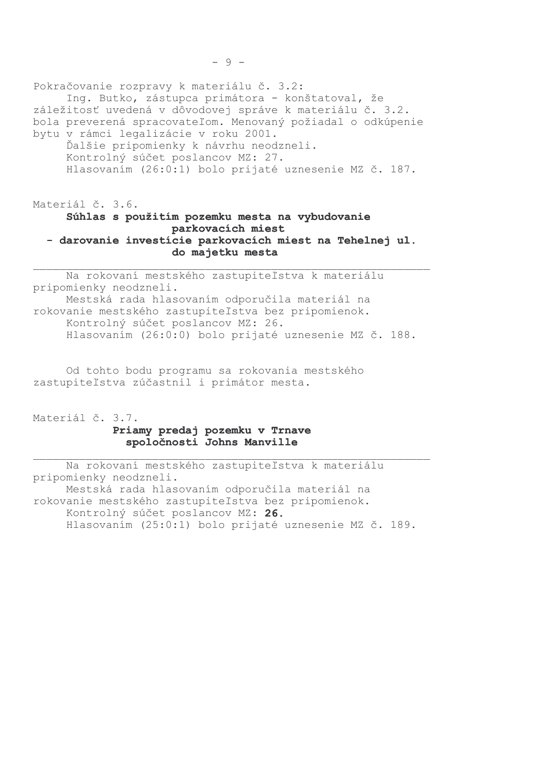Pokračovanie rozpravy k materiálu č. 3.2: Ing. Butko, zástupca primátora - konštatoval, že záležitosť uvedená v dôvodovej správe k materiálu č. 3.2. bola preverená spracovateľom. Menovaný požiadal o odkúpenie bytu v rámci legalizácie v roku 2001. Ďalšie pripomienky k návrhu neodzneli. Kontrolný súčet poslancov MZ: 27. Hlasovaním (26:0:1) bolo prijaté uznesenie MZ č. 187.

# Materiál č. 3.6. Súhlas s použitím pozemku mesta na vybudovanie parkovacích miest - darovanie investície parkovacích miest na Tehelnej ul. do majetku mesta

Na rokovaní mestského zastupiteľstva k materiálu pripomienky neodzneli. Mestská rada hlasovaním odporučila materiál na rokovanie mestského zastupiteľstva bez pripomienok. Kontrolný súčet poslancov MZ: 26. Hlasovaním (26:0:0) bolo prijaté uznesenie MZ č. 188.

Od tohto bodu programu sa rokovania mestského zastupiteľstva zúčastnil i primátor mesta.

Materiál č. 3.7. Priamy predaj pozemku v Trnave spoločnosti Johns Manville

Na rokovaní mestského zastupiteľstva k materiálu pripomienky neodzneli. Mestská rada hlasovaním odporučila materiál na rokovanie mestského zastupiteľstva bez pripomienok. Kontrolný súčet poslancov MZ: 26. Hlasovaním (25:0:1) bolo prijaté uznesenie MZ č. 189.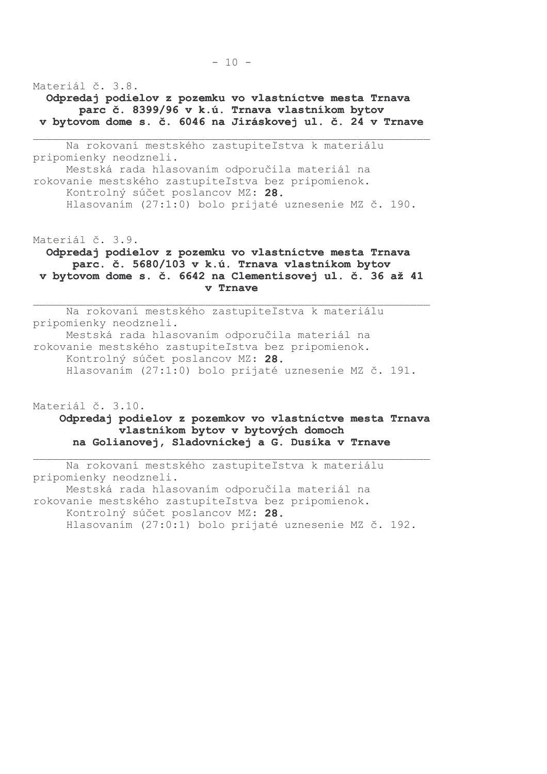Materiál č. 3.8. Odpredaj podielov z pozemku vo vlastníctve mesta Trnava parc č. 8399/96 v k.ú. Trnava vlastníkom bytov v bytovom dome s. č. 6046 na Jiráskovej ul. č. 24 v Trnave

Na rokovaní mestského zastupiteľstva k materiálu pripomienky neodzneli. Mestská rada hlasovaním odporučila materiál na rokovanie mestského zastupiteľstva bez pripomienok. Kontrolný súčet poslancov MZ: 28. Hlasovaním (27:1:0) bolo prijaté uznesenie MZ č. 190.

Materiál č. 3.9.

Odpredaj podielov z pozemku vo vlastníctve mesta Trnava parc. č. 5680/103 v k.ú. Trnava vlastníkom bytov v bytovom dome s. č. 6642 na Clementisovej ul. č. 36 až 41 v Trnave

Na rokovaní mestského zastupiteľstva k materiálu pripomienky neodzneli. Mestská rada hlasovaním odporučila materiál na rokovanie mestského zastupiteľstva bez pripomienok. Kontrolný súčet poslancov MZ: 28. Hlasovaním (27:1:0) bolo prijaté uznesenie MZ č. 191.

Materiál č. 3.10. Odpredaj podielov z pozemkov vo vlastníctve mesta Trnava vlastníkom bytov v bytových domoch na Golianovej, Sladovníckej a G. Dusíka v Trnave

Na rokovaní mestského zastupiteľstva k materiálu pripomienky neodzneli. Mestská rada hlasovaním odporučila materiál na rokovanie mestského zastupiteľstva bez pripomienok. Kontrolný súčet poslancov MZ: 28. Hlasovaním (27:0:1) bolo prijaté uznesenie MZ č. 192.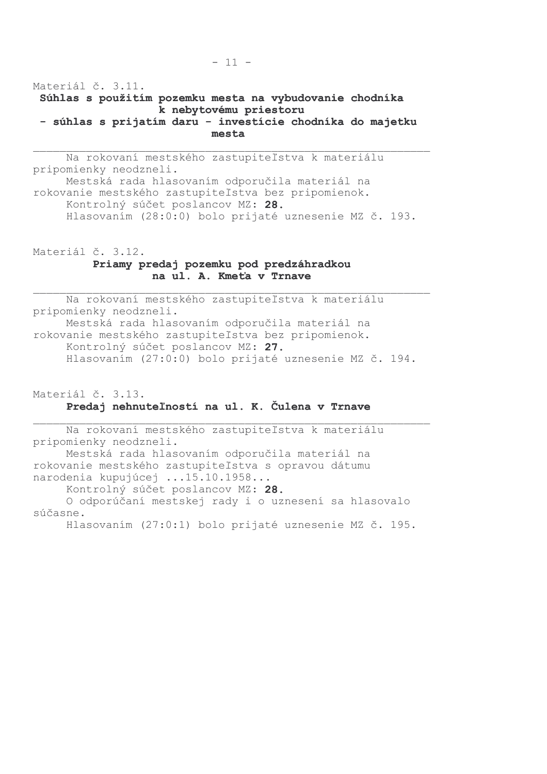Materiál č. 3.11. Súhlas s použitím pozemku mesta na vybudovanie chodníka k nebytovému priestoru - súhlas s prijatím daru - investície chodníka do majetku mesta

Na rokovaní mestského zastupiteľstva k materiálu pripomienky neodzneli. Mestská rada hlasovaním odporučila materiál na rokovanie mestského zastupiteľstva bez pripomienok. Kontrolný súčet poslancov MZ: 28. Hlasovaním (28:0:0) bolo prijaté uznesenie MZ č. 193.

Materiál č. 3.12. Priamy predaj pozemku pod predzáhradkou na ul. A. Kmeťa v Trnave

Na rokovaní mestského zastupiteľstva k materiálu pripomienky neodzneli. Mestská rada hlasovaním odporučila materiál na rokovanie mestského zastupiteľstva bez pripomienok. Kontrolný súčet poslancov MZ: 27. Hlasovaním (27:0:0) bolo prijaté uznesenie MZ č. 194.

Materiál č. 3.13. Predaj nehnuteľností na ul. K. Čulena v Trnave

Na rokovaní mestského zastupiteľstva k materiálu pripomienky neodzneli. Mestská rada hlasovaním odporučila materiál na rokovanie mestského zastupiteľstva s opravou dátumu narodenia kupujúcej ...15.10.1958... Kontrolný súčet poslancov MZ: 28. O odporúčaní mestskej rady i o uznesení sa hlasovalo súčasne. Hlasovaním (27:0:1) bolo prijaté uznesenie MZ č. 195.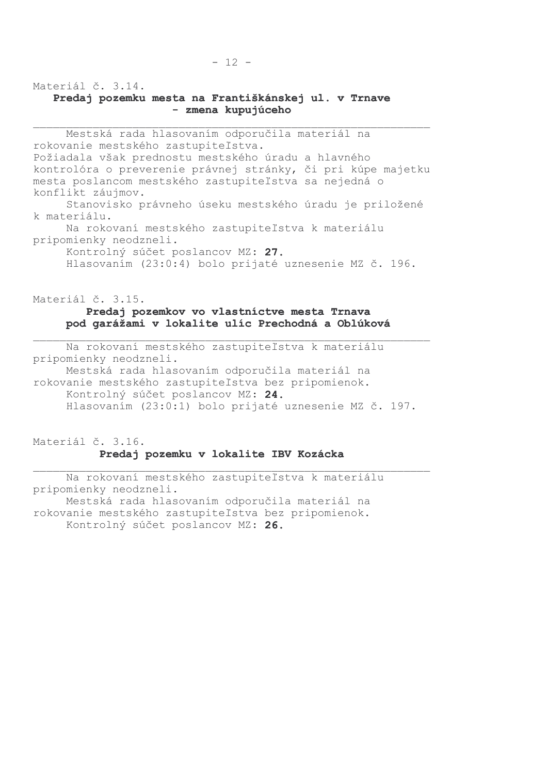Materiál č. 3.14.

## Predaj pozemku mesta na Františkánskej ul. v Trnave - zmena kupujúceho

Mestská rada hlasovaním odporučila materiál na rokovanie mestského zastupiteľstva. Požiadala však prednostu mestského úradu a hlavného kontrolóra o preverenie právnej stránky, či pri kúpe majetku mesta poslancom mestského zastupiteľstva sa nejedná o konflikt záujmov. Stanovisko právneho úseku mestského úradu je priložené k materiálu.

Na rokovaní mestského zastupiteľstva k materiálu pripomienky neodzneli.

Kontrolný súčet poslancov MZ: 27. Hlasovaním (23:0:4) bolo prijaté uznesenie MZ č. 196.

Materiál č. 3.15.

### Predaj pozemkov vo vlastníctve mesta Trnava pod garážami v lokalite ulíc Prechodná a Oblúková

Na rokovaní mestského zastupiteľstva k materiálu pripomienky neodzneli. Mestská rada hlasovaním odporučila materiál na rokovanie mestského zastupiteľstva bez pripomienok. Kontrolný súčet poslancov MZ: 24. Hlasovaním (23:0:1) bolo prijaté uznesenie MZ č. 197.

# Materiál č. 3.16. Predaj pozemku v lokalite IBV Kozácka

Na rokovaní mestského zastupiteľstva k materiálu pripomienky neodzneli. Mestská rada hlasovaním odporučila materiál na rokovanie mestského zastupiteľstva bez pripomienok. Kontrolný súčet poslancov MZ: 26.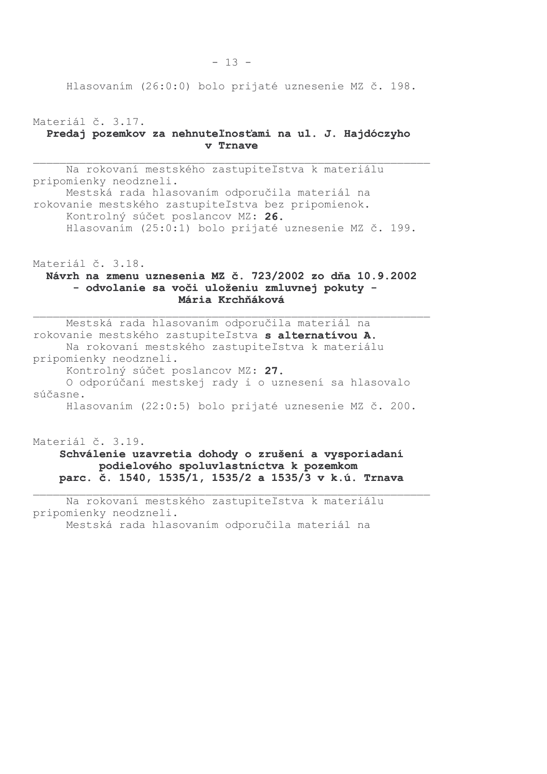Hlasovaním (26:0:0) bolo prijaté uznesenie MZ č. 198.

Materiál č. 3.17. Predaj pozemkov za nehnuteľnosťami na ul. J. Hajdóczyho v Trnave

Na rokovaní mestského zastupiteľstva k materiálu pripomienky neodzneli. Mestská rada hlasovaním odporučila materiál na rokovanie mestského zastupiteľstva bez pripomienok. Kontrolný súčet poslancov MZ: 26. Hlasovaním (25:0:1) bolo prijaté uznesenie MZ č. 199.

Materiál č. 3.18.

## Návrh na zmenu uznesenia MZ č. 723/2002 zo dňa 10.9.2002 - odvolanie sa voči uloženiu zmluvnej pokuty -Mária Krchňáková

Mestská rada hlasovaním odporučila materiál na rokovanie mestského zastupiteľstva s alternatívou A. Na rokovaní mestského zastupiteľstva k materiálu pripomienky neodzneli. Kontrolný súčet poslancov MZ: 27. O odporúčaní mestskej rady i o uznesení sa hlasovalo súčasne. Hlasovaním (22:0:5) bolo prijaté uznesenie MZ č. 200.

Materiál č. 3.19. Schválenie uzavretia dohody o zrušení a vysporiadaní podielového spoluvlastníctva k pozemkom parc. č. 1540, 1535/1, 1535/2 a 1535/3 v k.ú. Trnava

Na rokovaní mestského zastupiteľstva k materiálu pripomienky neodzneli. Mestská rada hlasovaním odporučila materiál na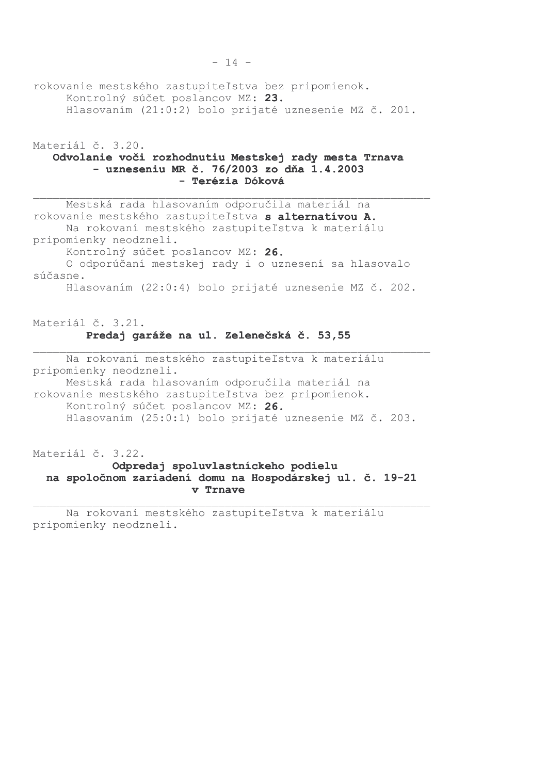rokovanie mestského zastupiteľstva bez pripomienok. Kontrolný súčet poslancov MZ: 23. Hlasovaním (21:0:2) bolo prijaté uznesenie MZ č. 201.

Materiál č. 3.20. Odvolanie voči rozhodnutiu Mestskej rady mesta Trnava - uzneseniu MR č. 76/2003 zo dňa 1.4.2003 - Terézia Dóková

Mestská rada hlasovaním odporučila materiál na rokovanie mestského zastupiteľstva s alternatívou A. Na rokovaní mestského zastupiteľstva k materiálu pripomienky neodzneli. Kontrolný súčet poslancov MZ: 26. O odporúčaní mestskej rady i o uznesení sa hlasovalo súčasne.

Hlasovaním (22:0:4) bolo prijaté uznesenie MZ č. 202.

# Materiál č. 3.21. Predaj garáže na ul. Zelenečská č. 53,55

Na rokovaní mestského zastupiteľstva k materiálu pripomienky neodzneli. Mestská rada hlasovaním odporučila materiál na rokovanie mestského zastupiteľstva bez pripomienok. Kontrolný súčet poslancov MZ: 26. Hlasovaním (25:0:1) bolo prijaté uznesenie MZ č. 203.

Materiál č. 3.22.

# Odpredaj spoluvlastníckeho podielu na spoločnom zariadení domu na Hospodárskej ul. č. 19-21 v Trnave

Na rokovaní mestského zastupiteľstva k materiálu pripomienky neodzneli.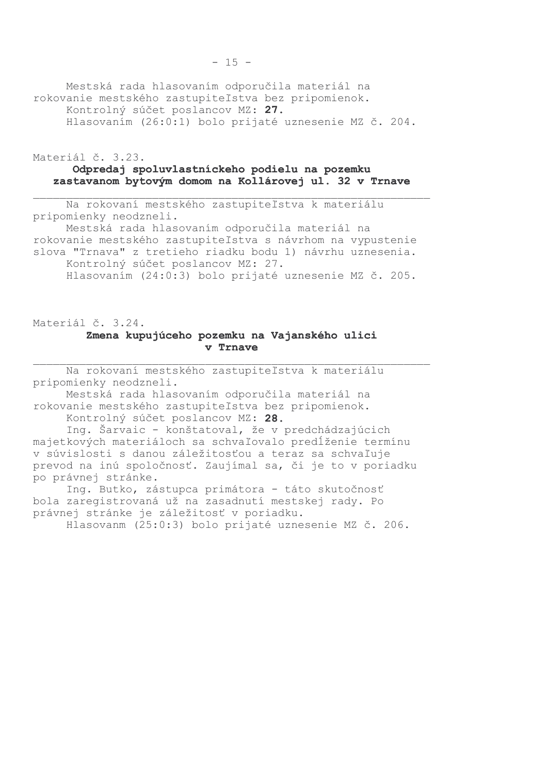Mestská rada hlasovaním odporučila materiál na rokovanie mestského zastupiteľstva bez pripomienok. Kontrolný súčet poslancov MZ: 27. Hlasovaním (26:0:1) bolo prijaté uznesenie MZ č. 204.

Materiál č. 3.23.

#### Odpredaj spoluvlastníckeho podielu na pozemku zastavanom bytovým domom na Kollárovej ul. 32 v Trnave

Na rokovaní mestského zastupiteľstva k materiálu pripomienky neodzneli.

Mestská rada hlasovaním odporučila materiál na rokovanie mestského zastupiteľstva s návrhom na vypustenie slova "Trnava" z tretieho riadku bodu 1) návrhu uznesenia. Kontrolný súčet poslancov MZ: 27. Hlasovaním (24:0:3) bolo prijaté uznesenie MZ č. 205.

Materiál č. 3.24.

#### Zmena kupujúceho pozemku na Vajanského ulici v Trnave

Na rokovaní mestského zastupiteľstva k materiálu pripomienky neodzneli.

Mestská rada hlasovaním odporučila materiál na rokovanie mestského zastupiteľstva bez pripomienok.

Kontrolný súčet poslancov MZ: 28.

Inq. Šarvaic - konštatoval, že v predchádzajúcich majetkových materiáloch sa schvaľovalo predĺženie termínu v súvislosti s danou záležitosťou a teraz sa schvaľuje prevod na inú spoločnosť. Zaujímal sa, či je to v poriadku po právnej stránke.

Ing. Butko, zástupca primátora - táto skutočnosť bola zaregistrovaná už na zasadnutí mestskej rady. Po právnej stránke je záležitosť v poriadku.

Hlasovanm (25:0:3) bolo prijaté uznesenie MZ č. 206.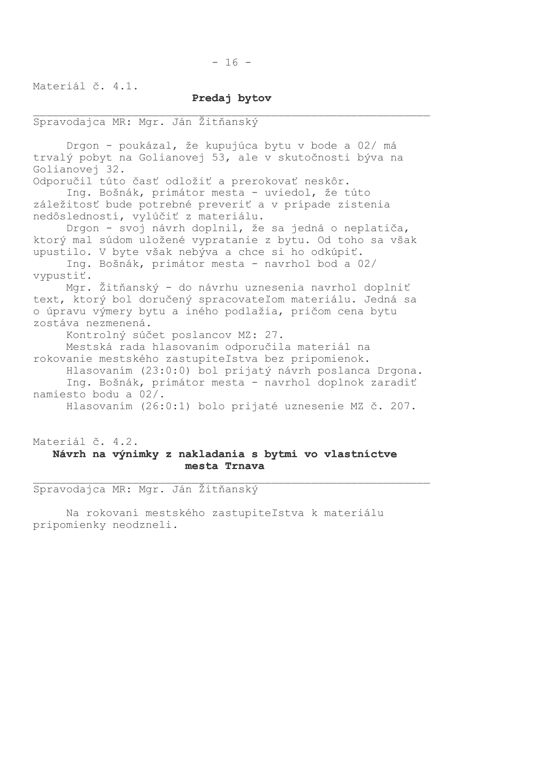Materiál č. 4.1.

#### Predai bytov

#### Spravodajca MR: Mgr. Ján Žitňanský

Drgon - poukázal, že kupujúca bytu v bode a 02/ má trvalý pobyt na Golianovej 53, ale v skutočnosti býva na Golianovej 32. Odporučil túto časť odložiť a prerokovať neskôr. Ing. Bošnák, primátor mesta - uviedol, že túto záležitosť bude potrebné preveriť a v prípade zistenia nedôsledností, vylúčiť z materiálu. Drgon - svoj návrh doplnil, že sa jedná o neplatiča, ktorý mal súdom uložené vypratanie z bytu. Od toho sa však upustilo. V byte však nebýva a chce si ho odkúpiť. Ing. Bošnák, primátor mesta - navrhol bod a 02/ vypustiť. Mgr. Žitňanský - do návrhu uznesenia navrhol doplniť text, ktorý bol doručený spracovateľom materiálu. Jedná sa o úpravu výmery bytu a iného podlažia, pričom cena bytu zostáva nezmenená. Kontrolný súčet poslancov MZ: 27. Mestská rada hlasovaním odporučila materiál na rokovanie mestského zastupiteľstva bez pripomienok. Hlasovaním (23:0:0) bol prijatý návrh poslanca Drgona. Ing. Bošnák, primátor mesta - navrhol doplnok zaradiť namiesto bodu a 02/. Hlasovaním (26:0:1) bolo prijaté uznesenie MZ č. 207.

## Materiál č. 4.2. Návrh na výnimky z nakladania s bytmi vo vlastníctve mesta Trnava

Spravodajca MR: Mgr. Ján Žitňanský

Na rokovaní mestského zastupiteľstva k materiálu pripomienky neodzneli.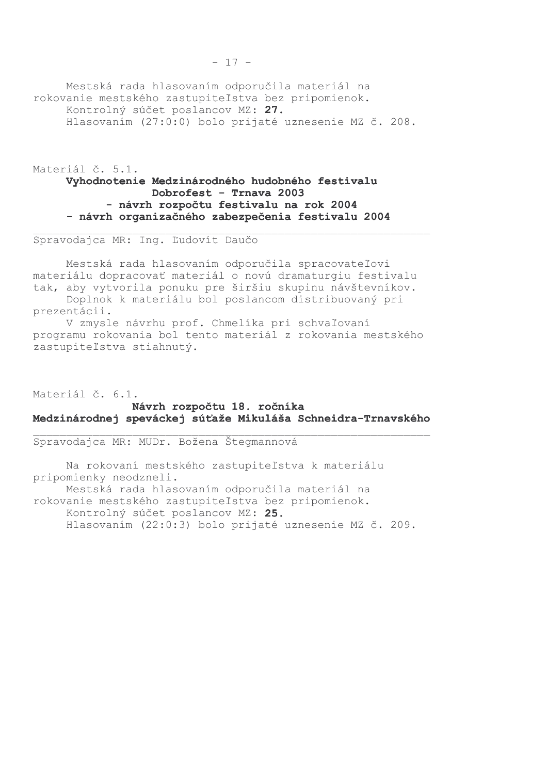Mestská rada hlasovaním odporučila materiál na rokovanie mestského zastupiteľstva bez pripomienok. Kontrolný súčet poslancov MZ: 27. Hlasovaním (27:0:0) bolo prijaté uznesenie MZ č. 208.

Materiál č. 5.1.

## Vyhodnotenie Medzinárodného hudobného festivalu Dobrofest - Trnava 2003 - návrh rozpočtu festivalu na rok 2004 - návrh organizačného zabezpečenia festivalu 2004

Spravodajca MR: Ing. Ľudovít Daučo

Mestská rada hlasovaním odporučila spracovateľovi materiálu dopracovať materiál o novú dramaturgiu festivalu tak, aby vytvorila ponuku pre širšiu skupinu návštevníkov. Doplnok k materiálu bol poslancom distribuovaný pri

prezentácii. V zmysle návrhu prof. Chmelíka pri schvaľovaní

programu rokovania bol tento materiál z rokovania mestského zastupiteľstva stiahnutý.

Materiál č. 6.1.

### Návrh rozpočtu 18. ročníka Medzinárodnej speváckej súťaže Mikuláša Schneidra-Trnavského

Spravodajca MR: MUDr. Božena Štegmannová

Na rokovaní mestského zastupiteľstva k materiálu pripomienky neodzneli. Mestská rada hlasovaním odporučila materiál na rokovanie mestského zastupiteľstva bez pripomienok. Kontrolný súčet poslancov MZ: 25. Hlasovaním (22:0:3) bolo prijaté uznesenie MZ č. 209.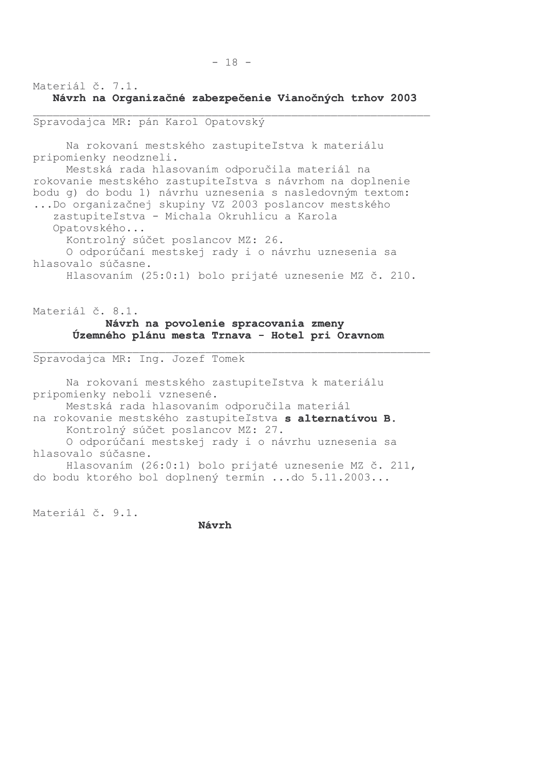# Materiál č. 7.1. Návrh na Organizačné zabezpečenie Vianočných trhov 2003

RRRRRRRRRRRRRRRRRRRRRRRRRRRRRRRRRRRRRRRRRRRRRRRRRRRRRRRRRRRR

## Spravodajca MR: pán Karol Opatovský

Na rokovaní mestského zastupiteľstva k materiálu pripomienky neodzneli. Mestská rada hlasovaním odporučila materiál na rokovanie mestského zastupiteľstva s návrhom na doplnenie bodu g) do bodu 1) návrhu uznesenia s nasledovným textom: ... Do organizačnej skupiny VZ 2003 poslancov mestského zastupiteľstva - Michala Okruhlicu a Karola Opatovského... Kontrolný súčet poslancov MZ: 26. O odporúčaní mestskej rady i o návrhu uznesenia sa hlasovalo súčasne. Hlasovaním (25:0:1) bolo prijaté uznesenie MZ č. 210.

# Materiál č. 8.1. Návrh na povolenie spracovania zmeny Územného plánu mesta Trnava – Hotel pri Oravnom

RRRRRRRRRRRRRRRRRRRRRRRRRRRRRRRRRRRRRRRRRRRRRRRRRRRRRRRRRRRR

Spravodajca MR: Ing. Jozef Tomek

Na rokovaní mestského zastupiteľstva k materiálu pripomienky neboli vznesené. Mestská rada hlasovaním odporučila materiál na rokovanie mestského zastupiteľstva s alternatívou B. Kontrolný súčet poslancov MZ: 27. O odporúčaní mestskej rady i o návrhu uznesenia sa hlasovalo súčasne. Hlasovaním (26:0:1) bolo prijaté uznesenie MZ č. 211, do bodu ktorého bol doplnený termín ...do 5.11.2003...

Materiál č. 9.1.

Návrh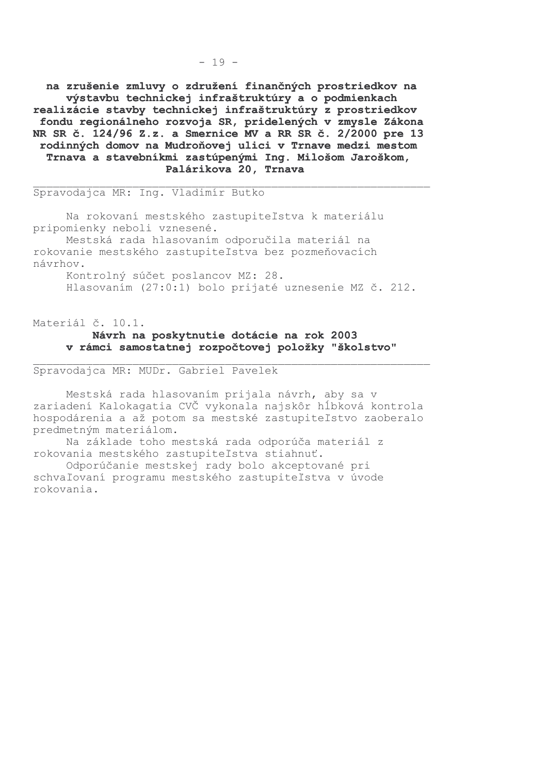na zrušenie zmluvy o združení finančných prostriedkov na výstavbu technickej infraštruktúry a o podmienkach realizácie stavby technickej infraštruktúry z prostriedkov fondu regionálneho rozvoja SR, pridelených v zmysle Zákona NR SR č. 124/96 Z.z. a Smernice MV a RR SR č. 2/2000 pre 13 rodinných domov na Mudroňovej ulici v Trnave medzi mestom Trnava a stavebníkmi zastúpenými Ing. Milošom Jaroškom, Palárikova 20, Trnava

Spravodajca MR: Ing. Vladimír Butko

Na rokovaní mestského zastupiteľstva k materiálu pripomienky neboli vznesené.

Mestská rada hlasovaním odporučila materiál na rokovanie mestského zastupiteľstva bez pozmeňovacích návrhov.

Kontrolný súčet poslancov MZ: 28. Hlasovaním (27:0:1) bolo prijaté uznesenie MZ č. 212.

Materiál č. 10.1.

### Návrh na poskytnutie dotácie na rok 2003 v rámci samostatnej rozpočtovej položky "školstvo"

Spravodajca MR: MUDr. Gabriel Pavelek

Mestská rada hlasovaním prijala návrh, aby sa v zariadení Kalokagatia CVČ vykonala najskôr hĺbková kontrola hospodárenia a až potom sa mestské zastupiteľstvo zaoberalo predmetným materiálom.

Na základe toho mestská rada odporúča materiál z rokovania mestského zastupiteľstva stiahnuť.

Odporúčanie mestskej rady bolo akceptované pri schvaľovaní programu mestského zastupiteľstva v úvode rokovania.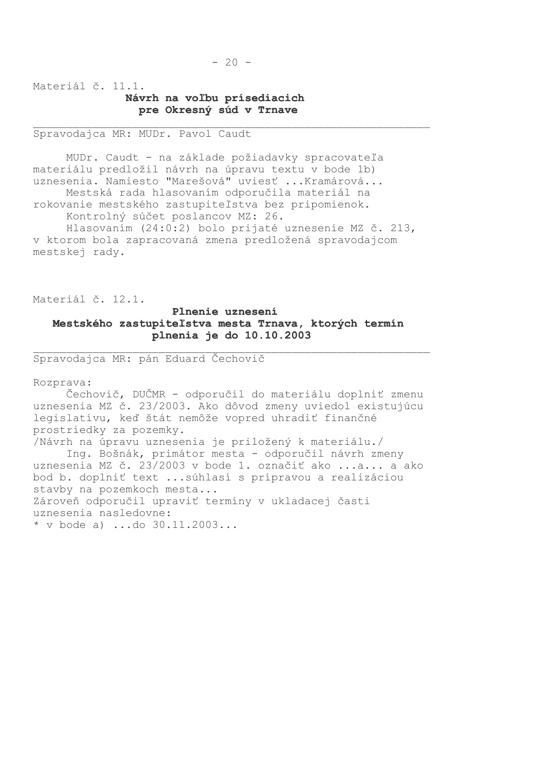## Materiál č. 11.1. Návrh na voľbu prísediacich pre Okresný súd v Trnave

Spravodajca MR: MUDr. Pavol Caudt

MUDr. Caudt - na základe požiadavky spracovateľa materiálu predložil návrh na úpravu textu v bode 1b) uznesenia. Namiesto "Marešová" uviesť ... Kramárová...

Mestská rada hlasovaním odporučila materiál na rokovanie mestského zastupiteľstva bez pripomienok. Kontrolný súčet poslancov MZ: 26.

Hlasovaním (24:0:2) bolo prijaté uznesenie MZ č. 213, v ktorom bola zapracovaná zmena predložená spravodajcom mestskej rady.

Materiál č. 12.1.

## Plnenie uznesení Mestského zastupiteľstva mesta Trnava, ktorých termín plnenia je do 10.10.2003

Spravodajca MR: pán Eduard Čechovič

Rozprava:

Čechovič, DUČMR - odporučil do materiálu doplniť zmenu uznesenia MZ č. 23/2003. Ako dôvod zmeny uviedol existujúcu legislatívu, keď štát nemôže vopred uhradiť finančné prostriedky za pozemky. /Návrh na úpravu uznesenia je priložený k materiálu./ Ing. Bošnák, primátor mesta - odporučil návrh zmeny uznesenia MZ č. 23/2003 v bode 1. označiť ako ...a... a ako bod b. doplniť text ... súhlasí s prípravou a realizáciou stavby na pozemkoch mesta... Zároveň odporučil upraviť termíny v ukladacej časti uznesenia nasledovne:

\* v bode a) ...do  $30.11.2003...$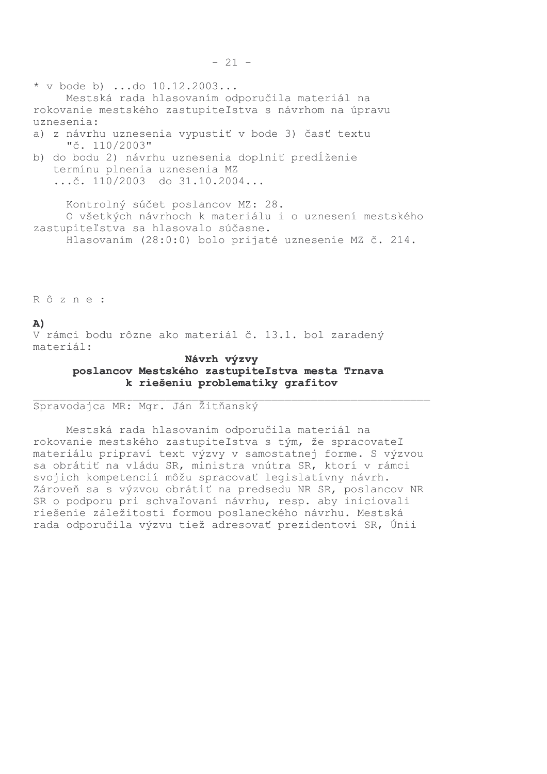\* v bode b) ...do  $10.12.2003...$ Mestská rada hlasovaním odporučila materiál na rokovanie mestského zastupiteľstva s návrhom na úpravu uznesenia:

- a) z návrhu uznesenia vypustiť v bode 3) časť textu "č. 110/2003"
- b) do bodu 2) návrhu uznesenia doplniť predĺženie termínu plnenia uznesenia MZ  $\ldots$ č. 110/2003 do 31.10.2004...

Kontrolný súčet poslancov MZ: 28. O všetkých návrhoch k materiálu i o uznesení mestského zastupiteľstva sa hlasovalo súčasne.

Hlasovaním (28:0:0) bolo prijaté uznesenie MZ č. 214.

Rôzne:

#### $A)$

V rámci bodu rôzne ako materiál č. 13.1. bol zaradený materiál:

### Návrh výzvy poslancov Mestského zastupiteľstva mesta Trnava k riešeniu problematiky grafitov

#### Spravodajca MR: Mgr. Ján Žitňanský

Mestská rada hlasovaním odporučila materiál na rokovanie mestského zastupiteľstva s tým, že spracovateľ materiálu pripraví text výzvy v samostatnej forme. S výzvou sa obrátiť na vládu SR, ministra vnútra SR, ktorí v rámci svojich kompetencií môžu spracovať legislatívny návrh. Zároveň sa s výzvou obrátiť na predsedu NR SR, poslancov NR SR o podporu pri schvaľovaní návrhu, resp. aby iniciovali riešenie záležitosti formou poslaneckého návrhu. Mestská rada odporučila výzvu tiež adresovať prezidentovi SR, Únii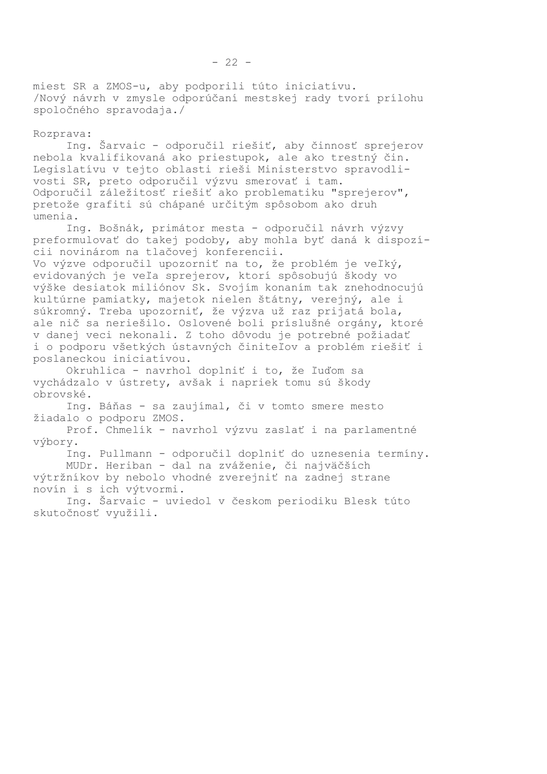miest SR a ZMOS-u, aby podporili túto iniciatívu. /Nový návrh v zmysle odporúčaní mestskej rady tvorí prílohu spoločného spravodaja./

#### Rozprava:

Ing. Šarvaic - odporučil riešiť, aby činnosť sprejerov nebola kvalifikovaná ako priestupok, ale ako trestný čin. Legislatívu v tejto oblasti rieši Ministerstvo spravodlivosti SR, preto odporučil výzvu smerovať i tam. Odporučil záležitosť riešiť ako problematiku "sprejerov", pretože grafiti sú chápané určitým spôsobom ako druh umenia.

Ing. Bošnák, primátor mesta - odporučil návrh výzvy preformulovať do takej podoby, aby mohla byť daná k dispozícii novinárom na tlačovej konferencii.

Vo výzve odporučil upozorniť na to, že problém je veľký, evidovaných je veľa sprejerov, ktorí spôsobujú škody vo výške desiatok miliónov Sk. Svojím konaním tak znehodnocujú kultúrne pamiatky, majetok nielen štátny, verejný, ale i súkromný. Treba upozorniť, že výzva už raz prijatá bola, ale nič sa neriešilo. Oslovené boli príslušné orgány, ktoré v danej veci nekonali. Z toho dôvodu je potrebné požiadať i o podporu všetkých ústavných činiteľov a problém riešiť i poslaneckou iniciatívou.

Okruhlica - navrhol doplniť i to, že ľuďom sa vychádzalo v ústrety, avšak i napriek tomu sú škody obrovské.

Ing. Báňas - sa zaujímal, či v tomto smere mesto žiadalo o podporu ZMOS.

Prof. Chmelík - navrhol výzvu zaslať i na parlamentné výbory.

Ing. Pullmann - odporučil doplniť do uznesenia termíny. MUDr. Heriban - dal na zváženie, či najväčších výtržníkov by nebolo vhodné zverejniť na zadnej strane novín i s ich výtvormi.

Ing. Šarvaic - uviedol v českom periodiku Blesk túto skutočnosť využili.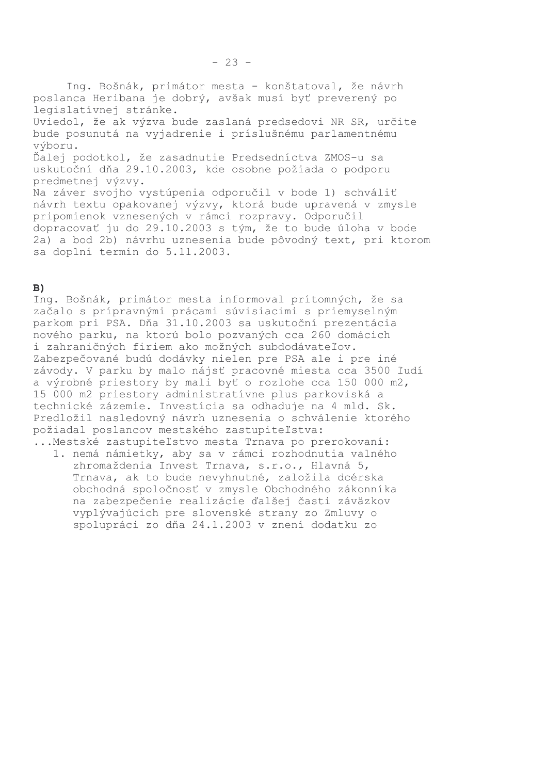Ing. Bošnák, primátor mesta - konštatoval, že návrh poslanca Heribana je dobrý, avšak musí byť preverený po legislatívnej stránke. Uviedol, že ak výzva bude zaslaná predsedovi NR SR, určite bude posunutá na vyjadrenie i príslušnému parlamentnému výboru. Ďalej podotkol, že zasadnutie Predsedníctva ZMOS-u sa uskutoční dňa 29.10.2003, kde osobne požiada o podporu predmetnej výzvy. Na záver svojho vystúpenia odporučil v bode 1) schváliť návrh textu opakovanej výzvy, ktorá bude upravená v zmysle pripomienok vznesených v rámci rozpravy. Odporučil dopracovať ju do 29.10.2003 s tým, že to bude úloha v bode 2a) a bod 2b) návrhu uznesenia bude pôvodný text, pri ktorom sa doplní termín do 5.11.2003.

## $B)$

Ing. Bošnák, primátor mesta informoval prítomných, že sa začalo s prípravnými prácami súvisiacimi s priemyselným parkom pri PSA. Dňa 31.10.2003 sa uskutoční prezentácia nového parku, na ktorú bolo pozvaných cca 260 domácich i zahraničných firiem ako možných subdodávateľov. Zabezpečované budú dodávky nielen pre PSA ale i pre iné závody. V parku by malo nájsť pracovné miesta cca 3500 ľudí a výrobné priestory by mali byť o rozlohe cca 150 000 m2, 15 000 m2 priestory administratívne plus parkoviská a technické zázemie. Investícia sa odhaduje na 4 mld. Sk. Predložil nasledovný návrh uznesenia o schválenie ktorého požiadal poslancov mestského zastupiteľstva:

... Mestské zastupiteľstvo mesta Trnava po prerokovaní: 1. nemá námietky, aby sa v rámci rozhodnutia valného zhromaždenia Invest Trnava, s.r.o., Hlavná 5, Trnava, ak to bude nevyhnutné, založila dcérska obchodná spoločnosť v zmysle Obchodného zákonníka na zabezpečenie realizácie ďalšej časti záväzkov vyplývajúcich pre slovenské strany zo Zmluvy o spolupráci zo dňa 24.1.2003 v znení dodatku zo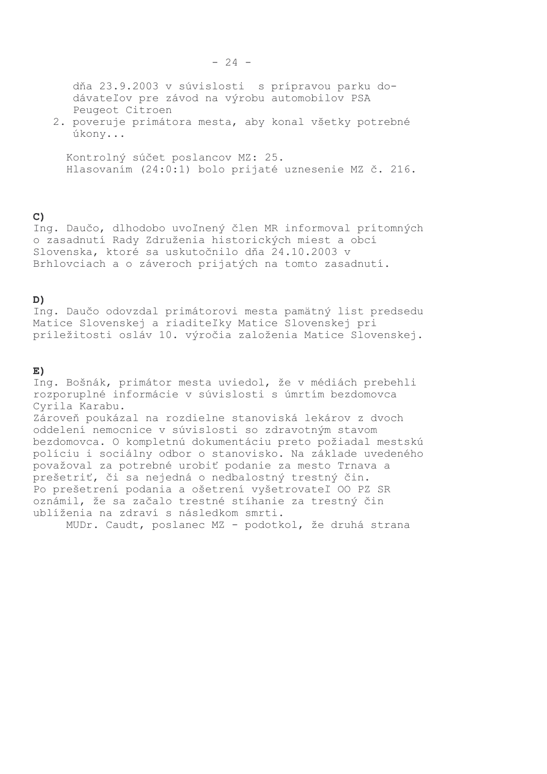2. poveruje primátora mesta, aby konal všetky potrebné úkony...

Kontrolný súčet poslancov MZ: 25. Hlasovaním (24:0:1) bolo prijaté uznesenie MZ č. 216.

# $\mathbf{C}$

Ing. Daučo, dlhodobo uvoľnený člen MR informoval prítomných o zasadnutí Rady Združenia historických miest a obcí Slovenska, ktoré sa uskutočnilo dňa 24.10.2003 v Brhlovciach a o záveroch prijatých na tomto zasadnutí.

## D)

Ing. Daučo odovzdal primátorovi mesta pamätný list predsedu Matice Slovenskej a riaditeľky Matice Slovenskej pri príležitosti osláv 10. výročia založenia Matice Slovenskej.

## $E)$

Ing. Bošnák, primátor mesta uviedol, že v médiách prebehli rozporuplné informácie v súvislosti s úmrtím bezdomovca Cyrila Karabu.

Zároveň poukázal na rozdielne stanoviská lekárov z dvoch oddelení nemocnice v súvislosti so zdravotným stavom bezdomovca. O kompletnú dokumentáciu preto požiadal mestskú políciu i sociálny odbor o stanovisko. Na základe uvedeného považoval za potrebné urobiť podanie za mesto Trnava a prešetriť, či sa nejedná o nedbalostný trestný čin. Po prešetrení podania a ošetrení vyšetrovateľ OO PZ SR oznámil, že sa začalo trestné stíhanie za trestný čin ublíženia na zdraví s následkom smrti.

MUDr. Caudt, poslanec MZ - podotkol, že druhá strana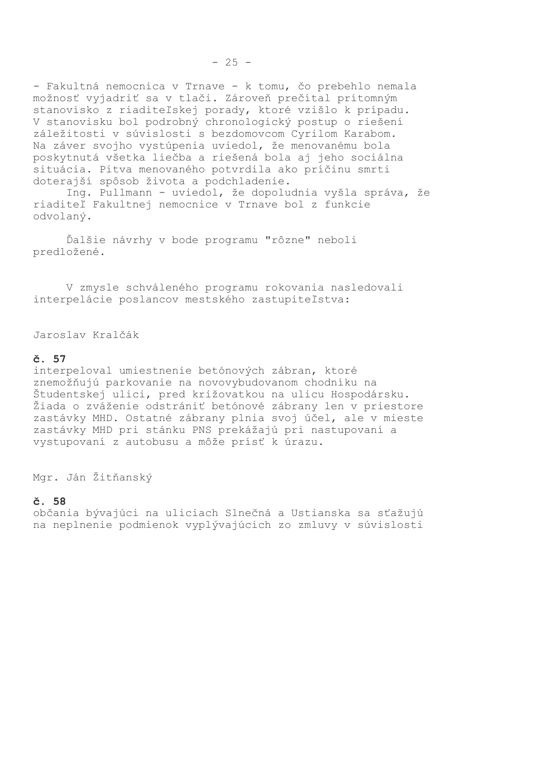- Fakultná nemocnica v Trnave - k tomu, čo prebehlo nemala možnosť vyjadriť sa v tlači. Zároveň prečítal prítomným stanovisko z riaditeľskej porady, ktoré vzišlo k prípadu. V stanovisku bol podrobný chronologický postup o riešení záležitosti v súvislosti s bezdomovcom Cyrilom Karabom. Na záver svojho vystúpenia uviedol, že menovanému bola poskytnutá všetka liečba a riešená bola aj jeho sociálna situácia. Pitva menovaného potvrdila ako príčinu smrti doterajší spôsob života a podchladenie.

Ing. Pullmann - uviedol, že dopoludnia vyšla správa, že riaditeľ Fakultnej nemocnice v Trnave bol z funkcie odvolaný.

Ďalšie návrhy v bode programu "rôzne" neboli predložené.

V zmysle schváleného programu rokovania nasledovali interpelácie poslancov mestského zastupiteľstva:

Jaroslav Kralčák

#### $\check{c}$ . 57

interpeloval umiestnenie betónových zábran, ktoré znemožňujú parkovanie na novovybudovanom chodníku na Študentskej ulici, pred križovatkou na ulicu Hospodársku. Žiada o zváženie odstrániť betónové zábrany len v priestore zastávky MHD. Ostatné zábrany plnia svoj účel, ale v mieste zastávky MHD pri stánku PNS prekážajú pri nastupovaní a vystupovaní z autobusu a môže prísť k úrazu.

Mgr. Ján Žitňanský

#### č. 58

občania bývajúci na uliciach Slnečná a Ustianska sa sťažujú na neplnenie podmienok vyplývajúcich zo zmluvy v súvislosti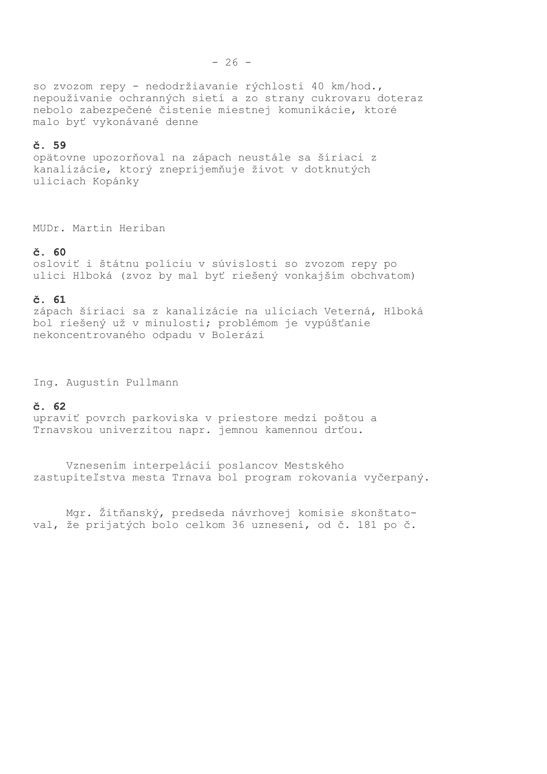so zvozom repy - nedodržiavanie rýchlosti 40 km/hod., nepoužívanie ochranných sietí a zo strany cukrovaru doteraz nebolo zabezpečené čistenie miestnej komunikácie, ktoré malo byť vykonávané denne

#### č. 59

opätovne upozorňoval na zápach neustále sa šíriaci z kanalizácie, ktorý znepríjemňuje život v dotknutých uliciach Kopánky

MUDr. Martin Heriban

#### $\check{c}$ . 60

osloviť i štátnu políciu v súvislosti so zvozom repy po ulici Hlboká (zvoz by mal byť riešený vonkajším obchvatom)

#### $\check{c}$ . 61

zápach šíriaci sa z kanalizácie na uliciach Veterná, Hlboká bol riešený už v minulosti; problémom je vypúšťanie nekoncentrovaného odpadu v Bolerázi

Ing. Augustín Pullmann

#### č. 62

upraviť povrch parkoviska v priestore medzi poštou a Trnavskou univerzitou napr. jemnou kamennou drťou.

Vznesením interpelácií poslancov Mestského zastupiteľstva mesta Trnava bol program rokovania vyčerpaný.

Mgr. Žitňanský, predseda návrhovej komisie skonštatoval, že prijatých bolo celkom 36 uznesení, od č. 181 po č.